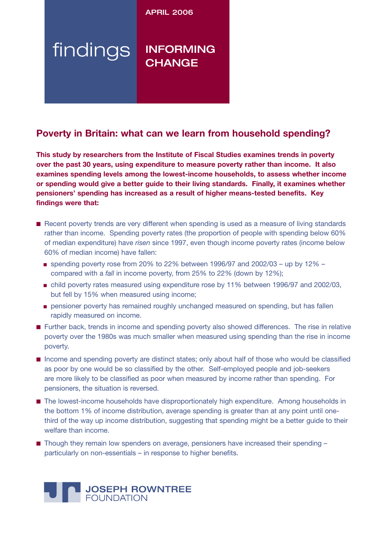APRIL 2006

# findings INFORMING **CHANGE**

# **Poverty in Britain: what can we learn from household spending?**

**This study by researchers from the Institute of Fiscal Studies examines trends in poverty over the past 30 years, using expenditure to measure poverty rather than income. It also examines spending levels among the lowest-income households, to assess whether income or spending would give a better guide to their living standards. Finally, it examines whether pensioners' spending has increased as a result of higher means-tested benefits. Key findings were that:**

- Recent poverty trends are very different when spending is used as a measure of living standards rather than income. Spending poverty rates (the proportion of people with spending below 60% of median expenditure) have *risen* since 1997, even though income poverty rates (income below 60% of median income) have fallen:
	- spending poverty rose from 20% to 22% between 1996/97 and 2002/03 up by 12% compared with a *fall* in income poverty, from 25% to 22% (down by 12%);
	- child poverty rates measured using expenditure rose by 11% between 1996/97 and 2002/03, but fell by 15% when measured using income;
	- pensioner poverty has remained roughly unchanged measured on spending, but has fallen rapidly measured on income.
- Further back, trends in income and spending poverty also showed differences. The rise in relative poverty over the 1980s was much smaller when measured using spending than the rise in income poverty.
- Income and spending poverty are distinct states; only about half of those who would be classified as poor by one would be so classified by the other. Self-employed people and job-seekers are more likely to be classified as poor when measured by income rather than spending. For pensioners, the situation is reversed.
- The lowest-income households have disproportionately high expenditure. Among households in the bottom 1% of income distribution, average spending is greater than at any point until onethird of the way up income distribution, suggesting that spending might be a better guide to their welfare than income.
- Though they remain low spenders on average, pensioners have increased their spending particularly on non-essentials – in response to higher benefits.

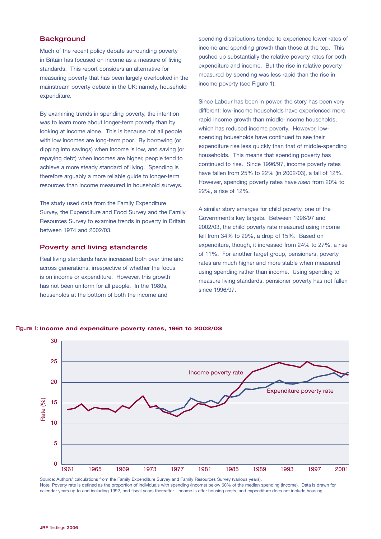# **Background**

Much of the recent policy debate surrounding poverty in Britain has focused on income as a measure of living standards. This report considers an alternative for measuring poverty that has been largely overlooked in the mainstream poverty debate in the UK: namely, household expenditure.

By examining trends in spending poverty, the intention was to learn more about longer-term poverty than by looking at income alone. This is because not all people with low incomes are long-term poor. By borrowing (or dipping into savings) when income is low, and saving (or repaying debt) when incomes are higher, people tend to achieve a more steady standard of living. Spending is therefore arguably a more reliable guide to longer-term resources than income measured in household surveys.

The study used data from the Family Expenditure Survey, the Expenditure and Food Survey and the Family Resources Survey to examine trends in poverty in Britain between 1974 and 2002/03.

#### Poverty and living standards

Real living standards have increased both over time and across generations, irrespective of whether the focus is on income or expenditure. However, this growth has not been uniform for all people. In the 1980s, households at the bottom of both the income and

spending distributions tended to experience lower rates of income and spending growth than those at the top. This pushed up substantially the relative poverty rates for both expenditure and income. But the rise in relative poverty measured by spending was less rapid than the rise in income poverty (see Figure 1).

Since Labour has been in power, the story has been very different: low-income households have experienced more rapid income growth than middle-income households, which has reduced income poverty. However, lowspending households have continued to see their expenditure rise less quickly than that of middle-spending households. This means that spending poverty has continued to rise. Since 1996/97, income poverty rates have fallen from 25% to 22% (in 2002/03), a fall of 12%. However, spending poverty rates have *risen* from 20% to 22%, a rise of 12%.

A similar story emerges for child poverty, one of the Government's key targets. Between 1996/97 and 2002/03, the child poverty rate measured using income fell from 34% to 29%, a drop of 15%. Based on expenditure, though, it increased from 24% to 27%, a rise of 11%. For another target group, pensioners, poverty rates are much higher and more stable when measured using spending rather than income. Using spending to measure living standards, pensioner poverty has not fallen since 1996/97.





Source: Authors' calculations from the Family Expenditure Survey and Family Resources Survey (various years). Note: Poverty rate is defined as the proportion of individuals with spending (income) below 60% of the median spending (income). Data is drawn for calendar years up to and including 1992, and fiscal years thereafter. Income is after housing costs, and expenditure does not include housing.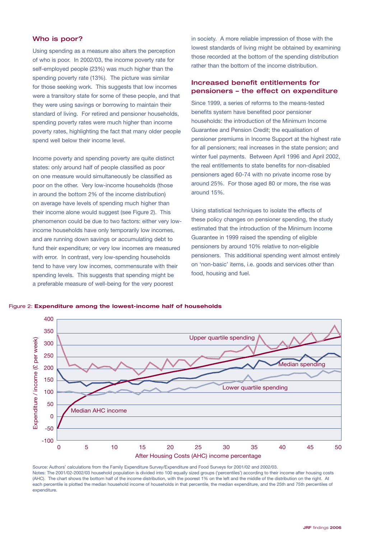# Who is poor?

Using spending as a measure also alters the perception of who is poor. In 2002/03, the income poverty rate for self-employed people (23%) was much higher than the spending poverty rate (13%). The picture was similar for those seeking work. This suggests that low incomes were a transitory state for some of these people, and that they were using savings or borrowing to maintain their standard of living. For retired and pensioner households, spending poverty rates were much higher than income poverty rates, highlighting the fact that many older people spend well below their income level.

Income poverty and spending poverty are quite distinct states: only around half of people classified as poor on one measure would simultaneously be classified as on one measure would simultaneously be classified as<br>poor on the other. Very low-income households (those in around the bottom 2% of the income distribution) on average have levels of spending much higher than their income alone would suggest (see Figure 2). This phenomenon could be due to two factors: either very lowincome households have only temporarily low incomes, fund their expenditure; or very low incomes are measured with error. In contrast, very low-spending households tend to have very low incomes, commensurate with their spending levels. This suggests that spending might be a preferable measure of well-being for the very poorest 5

in society. A more reliable impression of those with the lowest standards of living might be obtained by examining those recorded at the bottom of the spending distribution rather than the bottom of the income distribution.

# Increased benefit entitlements for pensioners – the effect on expenditure

Since 1999, a series of reforms to the means-tested benefits system have benefited poor pensioner households: the introduction of the Minimum Income Guarantee and Pension Credit; the equalisation of pensioner premiums in Income Support at the highest rate for all pensioners; real increases in the state pension; and winter fuel payments. Between April 1996 and April 2002, the real entitlements to state benefits for non-disabled pensioners aged 60-74 with no private income rose by around 25%. For those aged 80 or more, the rise was around 15%.

and are running down savings or accumulating debt to Guarantee in 1999 raised the spending of eligible Using statistical techniques to isolate the effects of these policy changes on pensioner spending, the study estimated that the introduction of the Minimum Income Guarantee in 1999 raised the spending of eligible pensioners by around 10% relative to non-eligible pensioners. This additional spending went almost entirely on 'non-basic' items, i.e. goods and services other than food, housing and fuel.





Source: Authors' calculations from the Family Expenditure Survey/Expenditure and Food Surveys for 2001/02 and 2002/03. Notes: The 2001/02-2002/03 household population is divided into 100 equally sized groups ('percentiles') according to their income after housing costs (AHC). The chart shows the bottom half of the income distribution, with the poorest 1% on the left and the middle of the distribution on the right. At each percentile is plotted the median household income of households in that percentile, the median expenditure, and the 25th and 75th percentiles of expenditure.